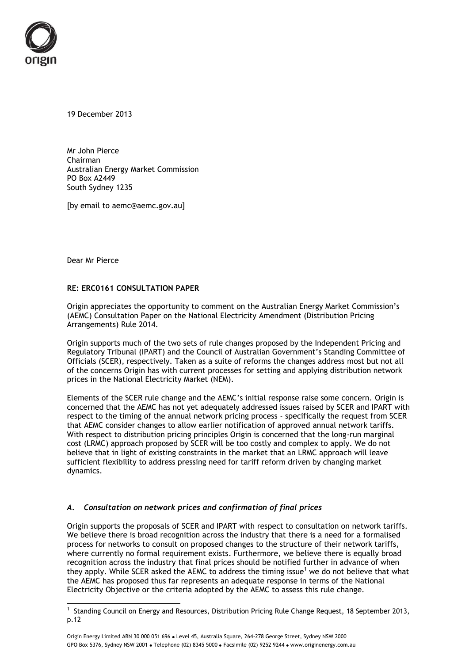

19 December 2013

Mr John Pierce Chairman Australian Energy Market Commission PO Box A2449 South Sydney 1235

[by email to aemc@aemc.gov.au]

Dear Mr Pierce

 $\overline{a}$ 

# **RE: ERC0161 CONSULTATION PAPER**

Origin appreciates the opportunity to comment on the Australian Energy Market Commission's (AEMC) Consultation Paper on the National Electricity Amendment (Distribution Pricing Arrangements) Rule 2014.

Origin supports much of the two sets of rule changes proposed by the Independent Pricing and Regulatory Tribunal (IPART) and the Council of Australian Government's Standing Committee of Officials (SCER), respectively. Taken as a suite of reforms the changes address most but not all of the concerns Origin has with current processes for setting and applying distribution network prices in the National Electricity Market (NEM).

Elements of the SCER rule change and the AEMC's initial response raise some concern. Origin is concerned that the AEMC has not yet adequately addressed issues raised by SCER and IPART with respect to the timing of the annual network pricing process - specifically the request from SCER that AEMC consider changes to allow earlier notification of approved annual network tariffs. With respect to distribution pricing principles Origin is concerned that the long-run marginal cost (LRMC) approach proposed by SCER will be too costly and complex to apply. We do not believe that in light of existing constraints in the market that an LRMC approach will leave sufficient flexibility to address pressing need for tariff reform driven by changing market dynamics.

## *A. Consultation on network prices and confirmation of final prices*

Origin supports the proposals of SCER and IPART with respect to consultation on network tariffs. We believe there is broad recognition across the industry that there is a need for a formalised process for networks to consult on proposed changes to the structure of their network tariffs, where currently no formal requirement exists. Furthermore, we believe there is equally broad recognition across the industry that final prices should be notified further in advance of when they apply. While SCER asked the AEMC to address the timing issue<sup>1</sup> we do not believe that what the AEMC has proposed thus far represents an adequate response in terms of the National Electricity Objective or the criteria adopted by the AEMC to assess this rule change.

<sup>1</sup> Standing Council on Energy and Resources, Distribution Pricing Rule Change Request, 18 September 2013, p.12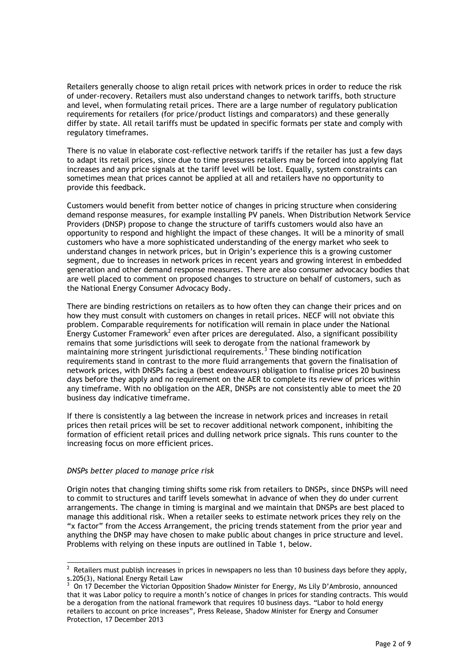Retailers generally choose to align retail prices with network prices in order to reduce the risk of under-recovery. Retailers must also understand changes to network tariffs, both structure and level, when formulating retail prices. There are a large number of regulatory publication requirements for retailers (for price/product listings and comparators) and these generally differ by state. All retail tariffs must be updated in specific formats per state and comply with regulatory timeframes.

There is no value in elaborate cost-reflective network tariffs if the retailer has just a few days to adapt its retail prices, since due to time pressures retailers may be forced into applying flat increases and any price signals at the tariff level will be lost. Equally, system constraints can sometimes mean that prices cannot be applied at all and retailers have no opportunity to provide this feedback.

Customers would benefit from better notice of changes in pricing structure when considering demand response measures, for example installing PV panels. When Distribution Network Service Providers (DNSP) propose to change the structure of tariffs customers would also have an opportunity to respond and highlight the impact of these changes. It will be a minority of small customers who have a more sophisticated understanding of the energy market who seek to understand changes in network prices, but in Origin's experience this is a growing customer segment, due to increases in network prices in recent years and growing interest in embedded generation and other demand response measures. There are also consumer advocacy bodies that are well placed to comment on proposed changes to structure on behalf of customers, such as the National Energy Consumer Advocacy Body.

There are binding restrictions on retailers as to how often they can change their prices and on how they must consult with customers on changes in retail prices. NECF will not obviate this problem. Comparable requirements for notification will remain in place under the National Energy Customer Framework<sup>2</sup> even after prices are deregulated. Also, a significant possibility remains that some jurisdictions will seek to derogate from the national framework by maintaining more stringent jurisdictional requirements.<sup>3</sup> These binding notification requirements stand in contrast to the more fluid arrangements that govern the finalisation of network prices, with DNSPs facing a (best endeavours) obligation to finalise prices 20 business days before they apply and no requirement on the AER to complete its review of prices within any timeframe. With no obligation on the AER, DNSPs are not consistently able to meet the 20 business day indicative timeframe.

If there is consistently a lag between the increase in network prices and increases in retail prices then retail prices will be set to recover additional network component, inhibiting the formation of efficient retail prices and dulling network price signals. This runs counter to the increasing focus on more efficient prices.

## *DNSPs better placed to manage price risk*

Origin notes that changing timing shifts some risk from retailers to DNSPs, since DNSPs will need to commit to structures and tariff levels somewhat in advance of when they do under current arrangements. The change in timing is marginal and we maintain that DNSPs are best placed to manage this additional risk. When a retailer seeks to estimate network prices they rely on the "x factor" from the Access Arrangement, the pricing trends statement from the prior year and anything the DNSP may have chosen to make public about changes in price structure and level. Problems with relying on these inputs are outlined in Table 1, below.

 $\frac{1}{2}$  Retailers must publish increases in prices in newspapers no less than 10 business days before they apply, s.205(3), National Energy Retail Law<br><sup>3</sup> On 17 December the Victorian Opposition Shadow Minister for Energy, Ms Lily D'Ambrosio, announced

that it was Labor policy to require a month's notice of changes in prices for standing contracts. This would be a derogation from the national framework that requires 10 business days. "Labor to hold energy retailers to account on price increases", Press Release, Shadow Minister for Energy and Consumer Protection, 17 December 2013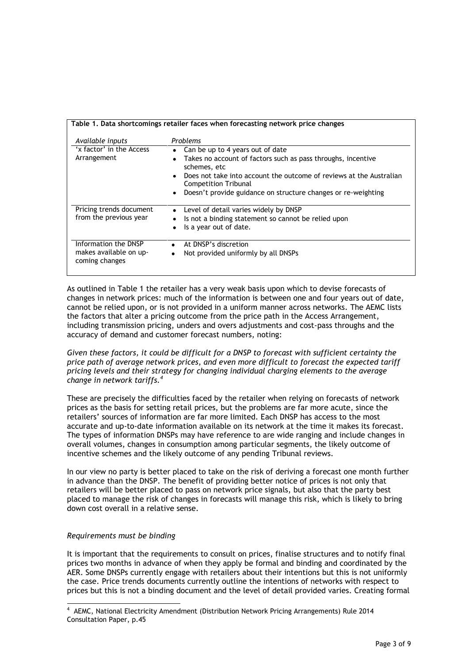| Table 1. Data shortcomings retailer faces when forecasting network price changes |                                                                                                    |  |  |
|----------------------------------------------------------------------------------|----------------------------------------------------------------------------------------------------|--|--|
| Available inputs                                                                 | Problems                                                                                           |  |  |
| 'x factor' in the Access                                                         | Can be up to 4 years out of date<br>$\bullet$                                                      |  |  |
| Arrangement                                                                      | Takes no account of factors such as pass throughs, incentive<br>schemes, etc                       |  |  |
|                                                                                  | Does not take into account the outcome of reviews at the Australian<br><b>Competition Tribunal</b> |  |  |
|                                                                                  | Doesn't provide guidance on structure changes or re-weighting                                      |  |  |
| Pricing trends document                                                          | Level of detail varies widely by DNSP<br>$\bullet$                                                 |  |  |
| from the previous year                                                           | Is not a binding statement so cannot be relied upon                                                |  |  |
|                                                                                  | Is a year out of date.                                                                             |  |  |
| Information the DNSP                                                             | At DNSP's discretion<br>$\bullet$                                                                  |  |  |
| makes available on up-<br>coming changes                                         | Not provided uniformly by all DNSPs                                                                |  |  |

As outlined in Table 1 the retailer has a very weak basis upon which to devise forecasts of changes in network prices: much of the information is between one and four years out of date, cannot be relied upon, or is not provided in a uniform manner across networks. The AEMC lists the factors that alter a pricing outcome from the price path in the Access Arrangement, including transmission pricing, unders and overs adjustments and cost-pass throughs and the accuracy of demand and customer forecast numbers, noting:

### *Given these factors, it could be difficult for a DNSP to forecast with sufficient certainty the price path of average network prices, and even more difficult to forecast the expected tariff pricing levels and their strategy for changing individual charging elements to the average change in network tariffs.<sup>4</sup>*

These are precisely the difficulties faced by the retailer when relying on forecasts of network prices as the basis for setting retail prices, but the problems are far more acute, since the retailers' sources of information are far more limited. Each DNSP has access to the most accurate and up-to-date information available on its network at the time it makes its forecast. The types of information DNSPs may have reference to are wide ranging and include changes in overall volumes, changes in consumption among particular segments, the likely outcome of incentive schemes and the likely outcome of any pending Tribunal reviews.

In our view no party is better placed to take on the risk of deriving a forecast one month further in advance than the DNSP. The benefit of providing better notice of prices is not only that retailers will be better placed to pass on network price signals, but also that the party best placed to manage the risk of changes in forecasts will manage this risk, which is likely to bring down cost overall in a relative sense.

## *Requirements must be binding*

 $\overline{a}$ 

It is important that the requirements to consult on prices, finalise structures and to notify final prices two months in advance of when they apply be formal and binding and coordinated by the AER. Some DNSPs currently engage with retailers about their intentions but this is not uniformly the case. Price trends documents currently outline the intentions of networks with respect to prices but this is not a binding document and the level of detail provided varies. Creating formal

<sup>4</sup> AEMC, National Electricity Amendment (Distribution Network Pricing Arrangements) Rule 2014 Consultation Paper, p.45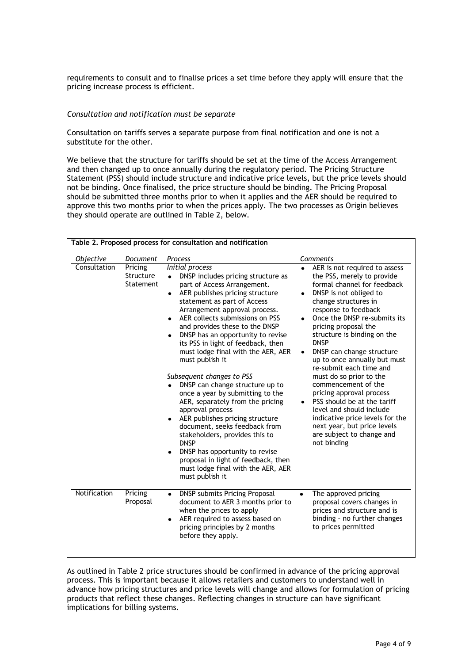requirements to consult and to finalise prices a set time before they apply will ensure that the pricing increase process is efficient.

#### *Consultation and notification must be separate*

Consultation on tariffs serves a separate purpose from final notification and one is not a substitute for the other.

We believe that the structure for tariffs should be set at the time of the Access Arrangement and then changed up to once annually during the regulatory period. The Pricing Structure Statement (PSS) should include structure and indicative price levels, but the price levels should not be binding. Once finalised, the price structure should be binding. The Pricing Proposal should be submitted three months prior to when it applies and the AER should be required to approve this two months prior to when the prices apply. The two processes as Origin believes they should operate are outlined in Table 2, below.

| Table 2. Proposed process for consultation and notification |                                               |                                                                                                                                                                                                                                                                                                                                                                                                                                                                                                                                                                                                                                                                                                                                                                                                                                             |                                                                                                                                                                                                                                                                                                                                                                                                                                                                                                                                                                                                                                                                              |  |
|-------------------------------------------------------------|-----------------------------------------------|---------------------------------------------------------------------------------------------------------------------------------------------------------------------------------------------------------------------------------------------------------------------------------------------------------------------------------------------------------------------------------------------------------------------------------------------------------------------------------------------------------------------------------------------------------------------------------------------------------------------------------------------------------------------------------------------------------------------------------------------------------------------------------------------------------------------------------------------|------------------------------------------------------------------------------------------------------------------------------------------------------------------------------------------------------------------------------------------------------------------------------------------------------------------------------------------------------------------------------------------------------------------------------------------------------------------------------------------------------------------------------------------------------------------------------------------------------------------------------------------------------------------------------|--|
| Objective<br>Consultation                                   | Document<br>Pricing<br>Structure<br>Statement | Process<br>Initial process<br>DNSP includes pricing structure as<br>part of Access Arrangement.<br>AER publishes pricing structure<br>$\bullet$<br>statement as part of Access<br>Arrangement approval process.<br>AER collects submissions on PSS<br>and provides these to the DNSP<br>DNSP has an opportunity to revise<br>its PSS in light of feedback, then<br>must lodge final with the AER, AER<br>must publish it<br>Subsequent changes to PSS<br>DNSP can change structure up to<br>once a year by submitting to the<br>AER, separately from the pricing<br>approval process<br>AER publishes pricing structure<br>document, seeks feedback from<br>stakeholders, provides this to<br><b>DNSP</b><br>DNSP has opportunity to revise<br>proposal in light of feedback, then<br>must lodge final with the AER, AER<br>must publish it | Comments<br>AER is not required to assess<br>the PSS, merely to provide<br>formal channel for feedback<br>DNSP is not obliged to<br>$\bullet$<br>change structures in<br>response to feedback<br>Once the DNSP re-submits its<br>pricing proposal the<br>structure is binding on the<br><b>DNSP</b><br>DNSP can change structure<br>$\bullet$<br>up to once annually but must<br>re-submit each time and<br>must do so prior to the<br>commencement of the<br>pricing approval process<br>PSS should be at the tariff<br>$\bullet$<br>level and should include<br>indicative price levels for the<br>next year, but price levels<br>are subject to change and<br>not binding |  |
| Notification                                                | Pricing<br>Proposal                           | <b>DNSP submits Pricing Proposal</b><br>document to AER 3 months prior to<br>when the prices to apply<br>AER required to assess based on<br>pricing principles by 2 months<br>before they apply.                                                                                                                                                                                                                                                                                                                                                                                                                                                                                                                                                                                                                                            | The approved pricing<br>$\bullet$<br>proposal covers changes in<br>prices and structure and is<br>binding - no further changes<br>to prices permitted                                                                                                                                                                                                                                                                                                                                                                                                                                                                                                                        |  |

As outlined in Table 2 price structures should be confirmed in advance of the pricing approval process. This is important because it allows retailers and customers to understand well in advance how pricing structures and price levels will change and allows for formulation of pricing products that reflect these changes. Reflecting changes in structure can have significant implications for billing systems.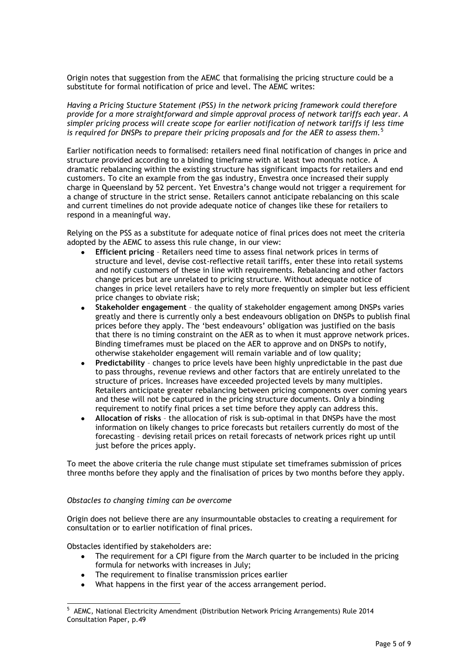Origin notes that suggestion from the AEMC that formalising the pricing structure could be a substitute for formal notification of price and level. The AEMC writes:

*Having a Pricing Stucture Statement (PSS) in the network pricing framework could therefore provide for a more straightforward and simple approval process of network tariffs each year. A simpler pricing process will create scope for earlier notification of network tariffs if less time is required for DNSPs to prepare their pricing proposals and for the AER to assess them.*<sup>5</sup>

Earlier notification needs to formalised: retailers need final notification of changes in price and structure provided according to a binding timeframe with at least two months notice. A dramatic rebalancing within the existing structure has significant impacts for retailers and end customers. To cite an example from the gas industry, Envestra once increased their supply charge in Queensland by 52 percent. Yet Envestra's change would not trigger a requirement for a change of structure in the strict sense. Retailers cannot anticipate rebalancing on this scale and current timelines do not provide adequate notice of changes like these for retailers to respond in a meaningful way.

Relying on the PSS as a substitute for adequate notice of final prices does not meet the criteria adopted by the AEMC to assess this rule change, in our view:

- **Efficient pricing** Retailers need time to assess final network prices in terms of  $\bullet$ structure and level, devise cost-reflective retail tariffs, enter these into retail systems and notify customers of these in line with requirements. Rebalancing and other factors change prices but are unrelated to pricing structure. Without adequate notice of changes in price level retailers have to rely more frequently on simpler but less efficient price changes to obviate risk;
- **Stakeholder engagement** the quality of stakeholder engagement among DNSPs varies greatly and there is currently only a best endeavours obligation on DNSPs to publish final prices before they apply. The 'best endeavours' obligation was justified on the basis that there is no timing constraint on the AER as to when it must approve network prices. Binding timeframes must be placed on the AER to approve and on DNSPs to notify, otherwise stakeholder engagement will remain variable and of low quality;
- **Predictability**  changes to price levels have been highly unpredictable in the past due to pass throughs, revenue reviews and other factors that are entirely unrelated to the structure of prices. Increases have exceeded projected levels by many multiples. Retailers anticipate greater rebalancing between pricing components over coming years and these will not be captured in the pricing structure documents. Only a binding requirement to notify final prices a set time before they apply can address this.
- **Allocation of risks**  the allocation of risk is sub-optimal in that DNSPs have the most information on likely changes to price forecasts but retailers currently do most of the forecasting – devising retail prices on retail forecasts of network prices right up until just before the prices apply.

To meet the above criteria the rule change must stipulate set timeframes submission of prices three months before they apply and the finalisation of prices by two months before they apply.

#### *Obstacles to changing timing can be overcome*

Origin does not believe there are any insurmountable obstacles to creating a requirement for consultation or to earlier notification of final prices.

Obstacles identified by stakeholders are:

 $\overline{a}$ 

- The requirement for a CPI figure from the March quarter to be included in the pricing formula for networks with increases in July;
- The requirement to finalise transmission prices earlier  $\bullet$
- What happens in the first year of the access arrangement period.

<sup>5</sup> AEMC, National Electricity Amendment (Distribution Network Pricing Arrangements) Rule 2014 Consultation Paper, p.49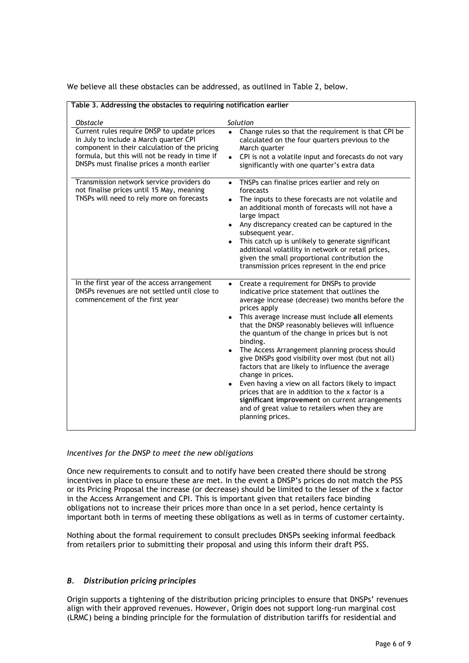We believe all these obstacles can be addressed, as outlined in Table 2, below.

| Table 3. Addressing the obstacles to requiring notification earlier                                                                                                                                                                    |                                                                                                                                                                                                                                                                                                                                                                                                                                                                                                                                                                                                                                                                                                                                                                                               |  |  |
|----------------------------------------------------------------------------------------------------------------------------------------------------------------------------------------------------------------------------------------|-----------------------------------------------------------------------------------------------------------------------------------------------------------------------------------------------------------------------------------------------------------------------------------------------------------------------------------------------------------------------------------------------------------------------------------------------------------------------------------------------------------------------------------------------------------------------------------------------------------------------------------------------------------------------------------------------------------------------------------------------------------------------------------------------|--|--|
| <b>Obstacle</b>                                                                                                                                                                                                                        | Solution                                                                                                                                                                                                                                                                                                                                                                                                                                                                                                                                                                                                                                                                                                                                                                                      |  |  |
| Current rules require DNSP to update prices<br>in July to include a March quarter CPI<br>component in their calculation of the pricing<br>formula, but this will not be ready in time if<br>DNSPs must finalise prices a month earlier | Change rules so that the requirement is that CPI be<br>calculated on the four quarters previous to the<br>March quarter<br>• CPI is not a volatile input and forecasts do not vary<br>significantly with one quarter's extra data                                                                                                                                                                                                                                                                                                                                                                                                                                                                                                                                                             |  |  |
| Transmission network service providers do<br>not finalise prices until 15 May, meaning<br>TNSPs will need to rely more on forecasts                                                                                                    | TNSPs can finalise prices earlier and rely on<br>٠<br>forecasts<br>The inputs to these forecasts are not volatile and<br>an additional month of forecasts will not have a<br>large impact<br>Any discrepancy created can be captured in the<br>subsequent year.<br>This catch up is unlikely to generate significant<br>additional volatility in network or retail prices,<br>given the small proportional contribution the<br>transmission prices represent in the end price                                                                                                                                                                                                                                                                                                                 |  |  |
| In the first year of the access arrangement<br>DNSPs revenues are not settled until close to<br>commencement of the first year                                                                                                         | Create a requirement for DNSPs to provide<br>$\bullet$<br>indicative price statement that outlines the<br>average increase (decrease) two months before the<br>prices apply<br>This average increase must include all elements<br>$\bullet$<br>that the DNSP reasonably believes will influence<br>the quantum of the change in prices but is not<br>binding.<br>The Access Arrangement planning process should<br>give DNSPs good visibility over most (but not all)<br>factors that are likely to influence the average<br>change in prices.<br>Even having a view on all factors likely to impact<br>$\bullet$<br>prices that are in addition to the x factor is a<br>significant improvement on current arrangements<br>and of great value to retailers when they are<br>planning prices. |  |  |

## *Incentives for the DNSP to meet the new obligations*

Once new requirements to consult and to notify have been created there should be strong incentives in place to ensure these are met. In the event a DNSP's prices do not match the PSS or its Pricing Proposal the increase (or decrease) should be limited to the lesser of the x factor in the Access Arrangement and CPI. This is important given that retailers face binding obligations not to increase their prices more than once in a set period, hence certainty is important both in terms of meeting these obligations as well as in terms of customer certainty.

Nothing about the formal requirement to consult precludes DNSPs seeking informal feedback from retailers prior to submitting their proposal and using this inform their draft PSS.

## *B. Distribution pricing principles*

Origin supports a tightening of the distribution pricing principles to ensure that DNSPs' revenues align with their approved revenues. However, Origin does not support long-run marginal cost (LRMC) being a binding principle for the formulation of distribution tariffs for residential and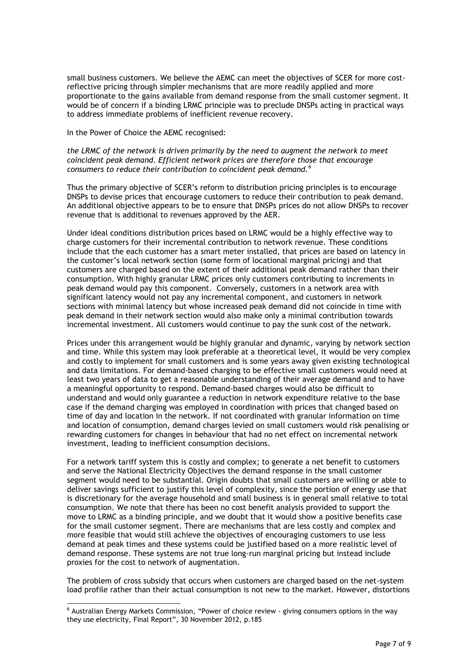small business customers. We believe the AEMC can meet the objectives of SCER for more costreflective pricing through simpler mechanisms that are more readily applied and more proportionate to the gains available from demand response from the small customer segment. It would be of concern if a binding LRMC principle was to preclude DNSPs acting in practical ways to address immediate problems of inefficient revenue recovery.

In the Power of Choice the AEMC recognised:

#### *the LRMC of the network is driven primarily by the need to augment the network to meet coincident peak demand. Efficient network prices are therefore those that encourage consumers to reduce their contribution to coincident peak demand.<sup>6</sup>*

Thus the primary objective of SCER's reform to distribution pricing principles is to encourage DNSPs to devise prices that encourage customers to reduce their contribution to peak demand. An additional objective appears to be to ensure that DNSPs prices do not allow DNSPs to recover revenue that is additional to revenues approved by the AER.

Under ideal conditions distribution prices based on LRMC would be a highly effective way to charge customers for their incremental contribution to network revenue. These conditions include that the each customer has a smart meter installed, that prices are based on latency in the customer's local network section (some form of locational marginal pricing) and that customers are charged based on the extent of their additional peak demand rather than their consumption. With highly granular LRMC prices only customers contributing to increments in peak demand would pay this component. Conversely, customers in a network area with significant latency would not pay any incremental component, and customers in network sections with minimal latency but whose increased peak demand did not coincide in time with peak demand in their network section would also make only a minimal contribution towards incremental investment. All customers would continue to pay the sunk cost of the network.

Prices under this arrangement would be highly granular and dynamic, varying by network section and time. While this system may look preferable at a theoretical level, it would be very complex and costly to implement for small customers and is some years away given existing technological and data limitations. For demand-based charging to be effective small customers would need at least two years of data to get a reasonable understanding of their average demand and to have a meaningful opportunity to respond. Demand-based charges would also be difficult to understand and would only guarantee a reduction in network expenditure relative to the base case if the demand charging was employed in coordination with prices that changed based on time of day and location in the network. If not coordinated with granular information on time and location of consumption, demand charges levied on small customers would risk penalising or rewarding customers for changes in behaviour that had no net effect on incremental network investment, leading to inefficient consumption decisions.

For a network tariff system this is costly and complex; to generate a net benefit to customers and serve the National Electricity Objectives the demand response in the small customer segment would need to be substantial. Origin doubts that small customers are willing or able to deliver savings sufficient to justify this level of complexity, since the portion of energy use that is discretionary for the average household and small business is in general small relative to total consumption. We note that there has been no cost benefit analysis provided to support the move to LRMC as a binding principle, and we doubt that it would show a positive benefits case for the small customer segment. There are mechanisms that are less costly and complex and more feasible that would still achieve the objectives of encouraging customers to use less demand at peak times and these systems could be justified based on a more realistic level of demand response. These systems are not true long-run marginal pricing but instead include proxies for the cost to network of augmentation.

The problem of cross subsidy that occurs when customers are charged based on the net-system load profile rather than their actual consumption is not new to the market. However, distortions

 $\overline{a}$ 

 $<sup>6</sup>$  Australian Energy Markets Commission, "Power of choice review - giving consumers options in the way</sup> they use electricity, Final Report", 30 November 2012, p.185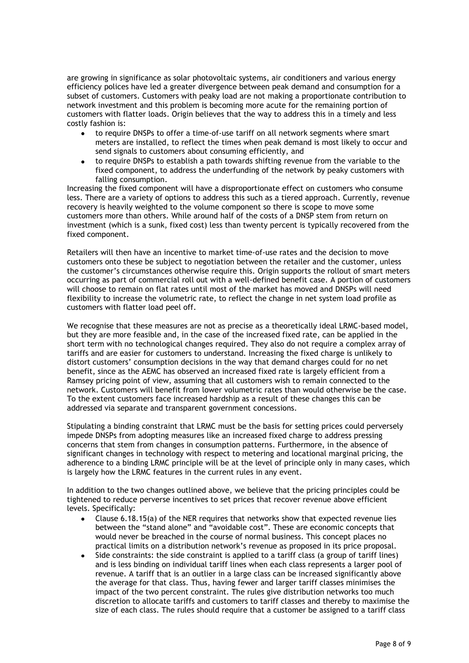are growing in significance as solar photovoltaic systems, air conditioners and various energy efficiency polices have led a greater divergence between peak demand and consumption for a subset of customers. Customers with peaky load are not making a proportionate contribution to network investment and this problem is becoming more acute for the remaining portion of customers with flatter loads. Origin believes that the way to address this in a timely and less costly fashion is:

- to require DNSPs to offer a time-of-use tariff on all network segments where smart meters are installed, to reflect the times when peak demand is most likely to occur and send signals to customers about consuming efficiently, and
- to require DNSPs to establish a path towards shifting revenue from the variable to the fixed component, to address the underfunding of the network by peaky customers with falling consumption.

Increasing the fixed component will have a disproportionate effect on customers who consume less. There are a variety of options to address this such as a tiered approach. Currently, revenue recovery is heavily weighted to the volume component so there is scope to move some customers more than others. While around half of the costs of a DNSP stem from return on investment (which is a sunk, fixed cost) less than twenty percent is typically recovered from the fixed component.

Retailers will then have an incentive to market time-of-use rates and the decision to move customers onto these be subject to negotiation between the retailer and the customer, unless the customer's circumstances otherwise require this. Origin supports the rollout of smart meters occurring as part of commercial roll out with a well-defined benefit case. A portion of customers will choose to remain on flat rates until most of the market has moved and DNSPs will need flexibility to increase the volumetric rate, to reflect the change in net system load profile as customers with flatter load peel off.

We recognise that these measures are not as precise as a theoretically ideal LRMC-based model, but they are more feasible and, in the case of the increased fixed rate, can be applied in the short term with no technological changes required. They also do not require a complex array of tariffs and are easier for customers to understand. Increasing the fixed charge is unlikely to distort customers' consumption decisions in the way that demand charges could for no net benefit, since as the AEMC has observed an increased fixed rate is largely efficient from a Ramsey pricing point of view, assuming that all customers wish to remain connected to the network. Customers will benefit from lower volumetric rates than would otherwise be the case. To the extent customers face increased hardship as a result of these changes this can be addressed via separate and transparent government concessions.

Stipulating a binding constraint that LRMC must be the basis for setting prices could perversely impede DNSPs from adopting measures like an increased fixed charge to address pressing concerns that stem from changes in consumption patterns. Furthermore, in the absence of significant changes in technology with respect to metering and locational marginal pricing, the adherence to a binding LRMC principle will be at the level of principle only in many cases, which is largely how the LRMC features in the current rules in any event.

In addition to the two changes outlined above, we believe that the pricing principles could be tightened to reduce perverse incentives to set prices that recover revenue above efficient levels. Specifically:

- Clause 6.18.15(a) of the NER requires that networks show that expected revenue lies between the "stand alone" and "avoidable cost". These are economic concepts that would never be breached in the course of normal business. This concept places no practical limits on a distribution network's revenue as proposed in its price proposal.
- Side constraints: the side constraint is applied to a tariff class (a group of tariff lines) and is less binding on individual tariff lines when each class represents a larger pool of revenue. A tariff that is an outlier in a large class can be increased significantly above the average for that class. Thus, having fewer and larger tariff classes minimises the impact of the two percent constraint. The rules give distribution networks too much discretion to allocate tariffs and customers to tariff classes and thereby to maximise the size of each class. The rules should require that a customer be assigned to a tariff class